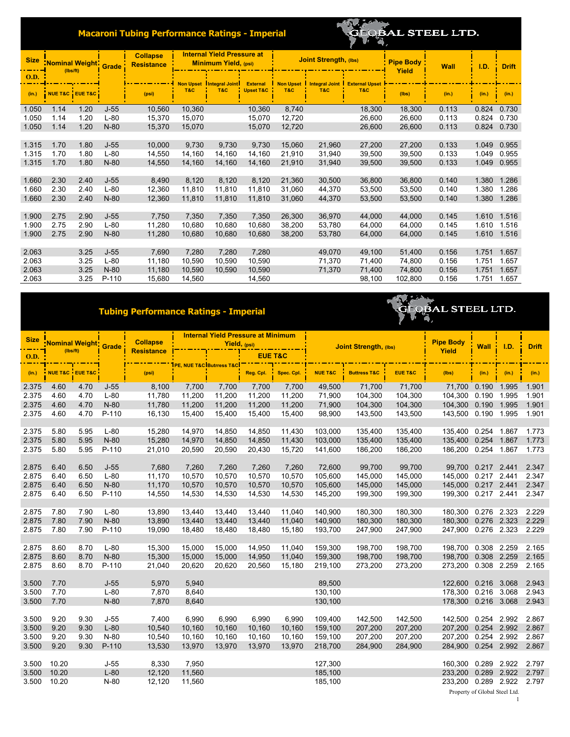## **Macaroni Tubing Performance Ratings - Imperial**

## **QBAL STEEL LTD.**

| <b>Size</b> | <b>Nominal Weight</b><br>(Ibs/ft)<br><b>NUE T&amp;C EUE T&amp;C</b> |      | <b>Grade</b> | <b>Collapse</b><br><b>Resistance</b> | <b>Internal Yield Pressure at</b><br><b>Minimum Yield, (psi)</b> |                       |                      |                  | <b>Joint Strength, (lbs)</b> |                       | <b>Pipe Body</b><br>Yield | <b>Wall</b> | I.D.  | <b>Drift</b> |
|-------------|---------------------------------------------------------------------|------|--------------|--------------------------------------|------------------------------------------------------------------|-----------------------|----------------------|------------------|------------------------------|-----------------------|---------------------------|-------------|-------|--------------|
| <b>O.D.</b> |                                                                     |      |              | <b>Non Upset</b>                     |                                                                  | <b>Integral Joint</b> | <b>External</b>      | <b>Non Upset</b> | <b>Integral Joint</b>        | <b>External Upset</b> |                           |             |       |              |
| (in.)       |                                                                     |      |              | (psi)                                | T&C                                                              | T&C                   | <b>Upset T&amp;C</b> | T&C              | T&C                          | T&C                   | (Ibs)                     | (in.)       | (in.) | (in.)        |
| 1.050       | 1.14                                                                | 1.20 | $J-55$       | 10,560                               | 10,360                                                           |                       | 10,360               | 8,740            |                              | 18,300                | 18,300                    | 0.113       | 0.824 | 0.730        |
| 1.050       | 1.14                                                                | 1.20 | $L-80$       | 15,370                               | 15,070                                                           |                       | 15,070               | 12,720           |                              | 26,600                | 26,600                    | 0.113       | 0.824 | 0.730        |
| 1.050       | 1.14                                                                | 1.20 | $N-80$       | 15,370                               | 15,070                                                           |                       | 15,070               | 12,720           |                              | 26,600                | 26,600                    | 0.113       | 0.824 | 0.730        |
|             |                                                                     |      |              |                                      |                                                                  |                       |                      |                  |                              |                       |                           |             |       |              |
| 1.315       | 1.70                                                                | 1.80 | $J-55$       | 10,000                               | 9,730                                                            | 9,730                 | 9,730                | 15,060           | 21,960                       | 27,200                | 27,200                    | 0.133       | 1.049 | 0.955        |
| 1.315       | 1.70                                                                | 1.80 | $L-80$       | 14,550                               | 14,160                                                           | 14,160                | 14,160               | 21,910           | 31,940                       | 39,500                | 39,500                    | 0.133       | 1.049 | 0.955        |
| 1.315       | 1.70                                                                | 1.80 | $N-80$       | 14,550                               | 14,160                                                           | 14,160                | 14,160               | 21,910           | 31,940                       | 39,500                | 39,500                    | 0.133       | 1.049 | 0.955        |
|             |                                                                     |      |              |                                      |                                                                  |                       |                      |                  |                              |                       |                           |             |       |              |
| 1.660       | 2.30                                                                | 2.40 | $J-55$       | 8,490                                | 8,120                                                            | 8,120                 | 8,120                | 21,360           | 30,500                       | 36,800                | 36,800                    | 0.140       | 1.380 | 1.286        |
| 1.660       | 2.30                                                                | 2.40 | $L-80$       | 12,360                               | 11,810                                                           | 11,810                | 11,810               | 31,060           | 44.370                       | 53,500                | 53,500                    | 0.140       | 1.380 | 1.286        |
| 1.660       | 2.30                                                                | 2.40 | $N-80$       | 12,360                               | 11,810                                                           | 11,810                | 11,810               | 31,060           | 44,370                       | 53,500                | 53,500                    | 0.140       | 1.380 | 1.286        |
|             |                                                                     |      |              |                                      |                                                                  |                       |                      |                  |                              |                       |                           |             |       |              |
| 1.900       | 2.75                                                                | 2.90 | $J-55$       | 7,750                                | 7,350                                                            | 7,350                 | 7,350                | 26,300           | 36,970                       | 44,000                | 44,000                    | 0.145       | 1.610 | 1.516        |
| 1.900       | 2.75                                                                | 2.90 | $L-80$       | 11,280                               | 10,680                                                           | 10,680                | 10,680               | 38,200           | 53,780                       | 64,000                | 64,000                    | 0.145       | 1.610 | 1.516        |
| 1.900       | 2.75                                                                | 2.90 | $N-80$       | 11,280                               | 10,680                                                           | 10,680                | 10,680               | 38,200           | 53,780                       | 64,000                | 64,000                    | 0.145       | 1.610 | 1.516        |
|             |                                                                     |      |              |                                      |                                                                  |                       |                      |                  |                              |                       |                           |             |       |              |
| 2.063       |                                                                     | 3.25 | $J-55$       | 7,690                                | 7,280                                                            | 7,280                 | 7,280                |                  | 49,070                       | 49,100                | 51,400                    | 0.156       | 1.751 | 1.657        |
| 2.063       |                                                                     | 3.25 | $L-80$       | 11,180                               | 10,590                                                           | 10,590                | 10,590               |                  | 71,370                       | 71,400                | 74,800                    | 0.156       | 1.751 | 1.657        |
| 2.063       |                                                                     | 3.25 | $N-80$       | 11,180                               | 10,590                                                           | 10,590                | 10,590               |                  | 71,370                       | 71,400                | 74,800                    | 0.156       | 1.751 | 1.657        |
| 2.063       |                                                                     | 3.25 | P-110        | 15,680                               | 14,560                                                           |                       | 14,560               |                  |                              | 98,100                | 102,800                   | 0.156       | 1.751 | 1.657        |

## **Tubing Performance Ratings - Imperial**



| <b>Size</b> | Nominal Weight Grade<br>(Ibs/ft) |      |         | <b>Collapse</b><br><b>Resistance</b> |        | <b>Internal Yield Pressure at Minimum</b><br>Yield, (psi) |           |            | <b>Joint Strength, (lbs)</b> |                         |                    | <b>Pipe Body</b>      | <b>Wall</b>                   | 1.D.  | <b>Drift</b> |
|-------------|----------------------------------|------|---------|--------------------------------------|--------|-----------------------------------------------------------|-----------|------------|------------------------------|-------------------------|--------------------|-----------------------|-------------------------------|-------|--------------|
| O.D.        |                                  |      |         |                                      |        | <b>EUE T&amp;C</b>                                        |           |            |                              |                         | Yield              |                       |                               |       |              |
| (in.)       | NUE T&C EUE T&C                  |      |         | (psi)                                |        |                                                           | Reg. Cpl. | Spec. Cpl. | <b>NUE T&amp;C</b>           | <b>Buttress T&amp;C</b> | <b>EUE T&amp;C</b> | (lbs)                 | (in.)                         | (in.) | (in.)        |
| 2.375       | 4.60                             | 4.70 | $J-55$  | 8,100                                | 7,700  | 7,700                                                     | 7,700     | 7,700      | 49,500                       | 71,700                  | 71,700             | 71.700 0.190          |                               | 1.995 | 1.901        |
| 2.375       | 4.60                             | 4.70 | $L-80$  | 11,780                               | 11,200 | 11,200                                                    | 11,200    | 11,200     | 71,900                       | 104,300                 | 104,300            | 104,300               | 0.190                         | 1.995 | 1.901        |
| 2.375       | 4.60                             | 4.70 | $N-80$  | 11,780                               | 11,200 | 11,200                                                    | 11,200    | 11,200     | 71,900                       | 104,300                 | 104,300            | 104,300  0.190  1.995 |                               |       | 1.901        |
| 2.375       | 4.60                             | 4.70 | P-110   | 16,130                               | 15,400 | 15,400                                                    | 15,400    | 15,400     | 98,900                       | 143,500                 | 143,500            | 143,500  0.190  1.995 |                               |       | 1.901        |
|             |                                  |      |         |                                      |        |                                                           |           |            |                              |                         |                    |                       |                               |       |              |
| 2.375       | 5.80                             | 5.95 | $L-80$  | 15,280                               | 14,970 | 14,850                                                    | 14,850    | 11,430     | 103.000                      | 135,400                 | 135,400            | 135,400  0.254  1.867 |                               |       | 1.773        |
| 2.375       | 5.80                             | 5.95 | $N-80$  | 15,280                               | 14,970 | 14,850                                                    | 14,850    | 11,430     | 103,000                      | 135,400                 | 135,400            | 135.400               | 0.254                         | 1.867 | 1.773        |
| 2.375       | 5.80                             | 5.95 | P-110   | 21,010                               | 20,590 | 20,590                                                    | 20,430    | 15,720     | 141,600                      | 186,200                 | 186,200            | 186,200               | 0.254                         | 1.867 | 1.773        |
|             |                                  |      |         |                                      |        |                                                           |           |            |                              |                         |                    |                       |                               |       |              |
| 2.875       | 6.40                             | 6.50 | $J-55$  | 7,680                                | 7,260  | 7,260                                                     | 7,260     | 7,260      | 72,600                       | 99,700                  | 99,700             | 99,700 0.217 2.441    |                               |       | 2.347        |
| 2.875       | 6.40                             | 6.50 | $L-80$  | 11,170                               | 10,570 | 10,570                                                    | 10,570    | 10,570     | 105,600                      | 145,000                 | 145,000            | 145,000 0.217 2.441   |                               |       | 2.347        |
| 2.875       | 6.40                             | 6.50 | $N-80$  | 11,170                               | 10,570 | 10,570                                                    | 10,570    | 10,570     | 105.600                      | 145,000                 | 145,000            | 145,000 0.217 2.441   |                               |       | 2.347        |
| 2.875       | 6.40                             | 6.50 | P-110   | 14,550                               | 14,530 | 14,530                                                    | 14,530    | 14,530     | 145,200                      | 199,300                 | 199,300            | 199,300 0.217 2.441   |                               |       | 2.347        |
|             |                                  |      |         |                                      |        |                                                           |           |            |                              |                         |                    |                       |                               |       |              |
| 2.875       | 7.80                             | 7.90 | $L-80$  | 13,890                               | 13,440 | 13,440                                                    | 13.440    | 11,040     | 140.900                      | 180.300                 | 180,300            | 180,300 0.276 2.323   |                               |       | 2.229        |
| 2.875       | 7.80                             | 7.90 | $N-80$  | 13,890                               | 13,440 | 13,440                                                    | 13,440    | 11,040     | 140,900                      | 180,300                 | 180,300            | 180,300               | 0.276 2.323                   |       | 2.229        |
| 2.875       | 7.80                             | 7.90 | P-110   | 19,090                               | 18,480 | 18,480                                                    | 18,480    | 15,180     | 193,700                      | 247,900                 | 247,900            | 247,900 0.276 2.323   |                               |       | 2.229        |
|             |                                  |      |         |                                      |        |                                                           |           |            |                              |                         |                    |                       |                               |       |              |
| 2.875       | 8.60                             | 8.70 | $L-80$  | 15,300                               | 15,000 | 15,000                                                    | 14,950    | 11,040     | 159,300                      | 198,700                 | 198,700            | 198,700               | 0.308 2.259                   |       | 2.165        |
| 2.875       | 8.60                             | 8.70 | $N-80$  | 15,300                               | 15,000 | 15,000                                                    | 14,950    | 11,040     | 159,300                      | 198,700                 | 198,700            | 198.700               | 0.308 2.259                   |       | 2.165        |
| 2.875       | 8.60                             | 8.70 | P-110   | 21,040                               | 20,620 | 20,620                                                    | 20,560    | 15,180     | 219,100                      | 273,200                 | 273,200            | 273,200 0.308 2.259   |                               |       | 2.165        |
|             |                                  |      |         |                                      |        |                                                           |           |            |                              |                         |                    |                       |                               |       |              |
| 3.500       | 7.70                             |      | $J-55$  | 5,970                                | 5,940  |                                                           |           |            | 89,500                       |                         |                    | 122,600 0.216 3.068   |                               |       | 2.943        |
| 3.500       | 7.70                             |      | $L-80$  | 7,870                                | 8,640  |                                                           |           |            | 130,100                      |                         |                    | 178.300 0.216 3.068   |                               |       | 2.943        |
| 3.500       | 7.70                             |      | $N-80$  | 7,870                                | 8,640  |                                                           |           |            | 130,100                      |                         |                    | 178,300 0.216 3.068   |                               |       | 2.943        |
|             |                                  |      |         |                                      |        |                                                           |           |            |                              |                         |                    |                       |                               |       |              |
| 3.500       | 9.20                             | 9.30 | $J-55$  | 7.400                                | 6,990  | 6,990                                                     | 6.990     | 6,990      | 109.400                      | 142,500                 | 142,500            | 142.500 0.254 2.992   |                               |       | 2.867        |
| 3.500       | 9.20                             | 9.30 | $L-80$  | 10,540                               | 10,160 | 10,160                                                    | 10,160    | 10,160     | 159,100                      | 207,200                 | 207,200            | 207,200               | 0.254 2.992                   |       | 2.867        |
| 3.500       | 9.20                             | 9.30 | $N-80$  | 10,540                               | 10,160 | 10,160                                                    | 10,160    | 10,160     | 159,100                      | 207,200                 | 207,200            | 207,200               | 0.254 2.992                   |       | 2.867        |
| 3.500       | 9.20                             | 9.30 | $P-110$ | 13,530                               | 13.970 | 13,970                                                    | 13.970    | 13,970     | 218.700                      | 284.900                 | 284,900            | 284,900 0.254 2.992   |                               |       | 2.867        |
|             |                                  |      |         |                                      |        |                                                           |           |            |                              |                         |                    |                       |                               |       |              |
| 3.500       | 10.20                            |      | $J-55$  | 8,330                                | 7,950  |                                                           |           |            | 127,300                      |                         |                    | 160.300               | 0.289                         | 2.922 | 2.797        |
| 3.500       | 10.20                            |      | $L-80$  | 12,120                               | 11,560 |                                                           |           |            | 185,100                      |                         |                    | 233.200               | 0.289                         | 2.922 | 2.797        |
| 3.500       | 10.20                            |      | $N-80$  | 12,120                               | 11,560 |                                                           |           |            | 185,100                      |                         |                    | 233,200 0.289 2.922   |                               |       | 2.797        |
|             |                                  |      |         |                                      |        |                                                           |           |            |                              |                         |                    |                       | Property of Global Steel Ltd. |       |              |